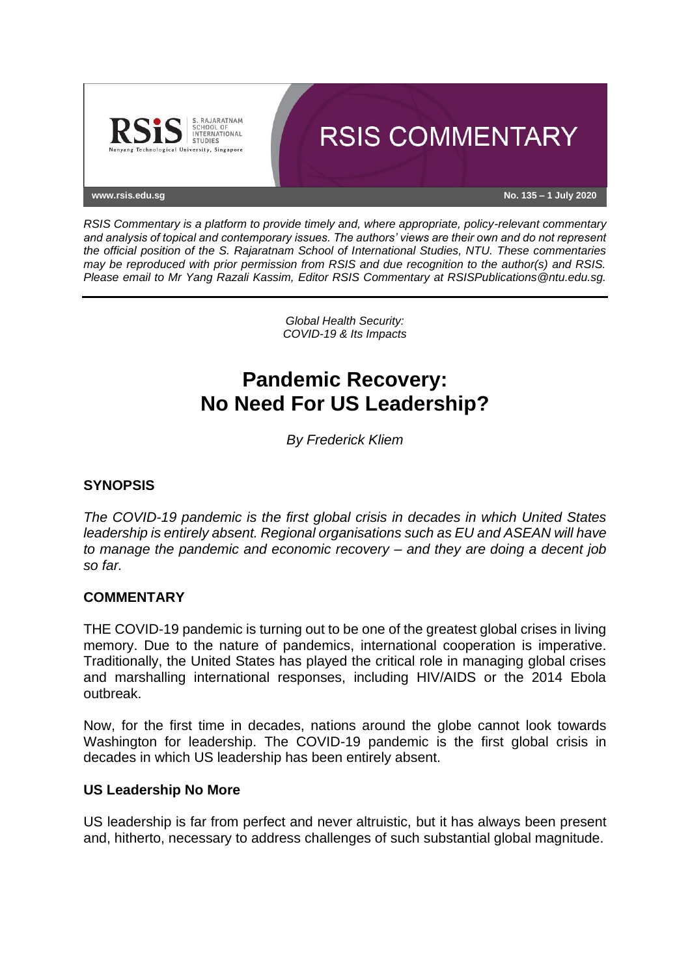

*RSIS Commentary is a platform to provide timely and, where appropriate, policy-relevant commentary and analysis of topical and contemporary issues. The authors' views are their own and do not represent the official position of the S. Rajaratnam School of International Studies, NTU. These commentaries may be reproduced with prior permission from RSIS and due recognition to the author(s) and RSIS. Please email to Mr Yang Razali Kassim, Editor RSIS Commentary at RSISPublications@ntu.edu.sg.*

> *Global Health Security: COVID-19 & Its Impacts*

# **Pandemic Recovery: No Need For US Leadership?**

*By Frederick Kliem*

## **SYNOPSIS**

*The COVID-19 pandemic is the first global crisis in decades in which United States leadership is entirely absent. Regional organisations such as EU and ASEAN will have to manage the pandemic and economic recovery – and they are doing a decent job so far.*

### **COMMENTARY**

THE COVID-19 pandemic is turning out to be one of the greatest global crises in living memory. Due to the nature of pandemics, international cooperation is imperative. Traditionally, the United States has played the critical role in managing global crises and marshalling international responses, including HIV/AIDS or the 2014 Ebola outbreak.

Now, for the first time in decades, nations around the globe cannot look towards Washington for leadership. The COVID-19 pandemic is the first global crisis in decades in which US leadership has been entirely absent.

#### **US Leadership No More**

US leadership is far from perfect and never altruistic, but it has always been present and, hitherto, necessary to address challenges of such substantial global magnitude.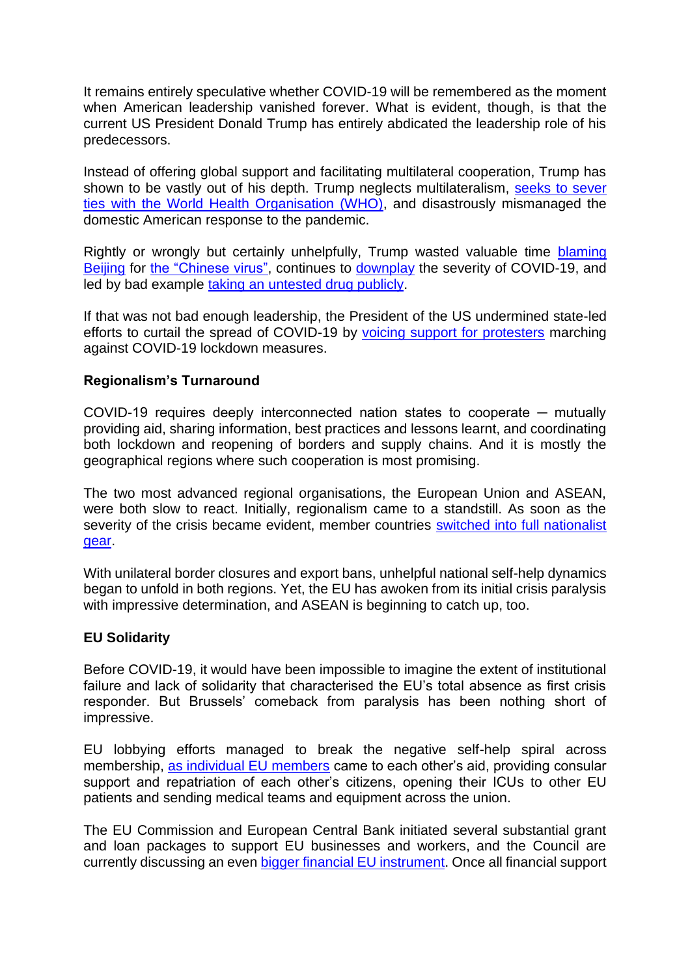It remains entirely speculative whether COVID-19 will be remembered as the moment when American leadership vanished forever. What is evident, though, is that the current US President Donald Trump has entirely abdicated the leadership role of his predecessors.

Instead of offering global support and facilitating multilateral cooperation, Trump has shown to be vastly out of his depth. Trump neglects multilateralism, [seeks to sever](https://www.reuters.com/article/us-health-coronavirus-trump-who/trump-cutting-u-s-ties-with-world-health-organization-over-virus-idUSKBN2352YJ)  [ties with the World Health Organisation \(WHO\),](https://www.reuters.com/article/us-health-coronavirus-trump-who/trump-cutting-u-s-ties-with-world-health-organization-over-virus-idUSKBN2352YJ) and disastrously mismanaged the domestic American response to the pandemic.

Rightly or wrongly but certainly unhelpfully, Trump wasted valuable time [blaming](https://www.channelnewsasia.com/news/world/trump-blames-china-mass-worldwide-killing-covid-19-coronavirus-12753604)  [Beijing](https://www.channelnewsasia.com/news/world/trump-blames-china-mass-worldwide-killing-covid-19-coronavirus-12753604) for [the "Chinese virus",](https://theconversation.com/donald-trumps-chinese-virus-the-politics-of-naming-136796) continues to [downplay](https://www.scmp.com/news/world/united-states-canada/article/3081188/coronavirus-trump-plays-down-threat-second-deadly) the severity of COVID-19, and led by bad example [taking an untested drug publicly.](https://www.bbc.com/news/world-us-canada-52717161)

If that was not bad enough leadership, the President of the US undermined state-led efforts to curtail the spread of COVID-19 by [voicing support for protesters](https://edition.cnn.com/2020/05/01/politics/donald-trump-michigan-gretchen-whitmer-protests/index.html) marching against COVID-19 lockdown measures.

### **Regionalism's Turnaround**

COVID-19 requires deeply interconnected nation states to cooperate ─ mutually providing aid, sharing information, best practices and lessons learnt, and coordinating both lockdown and reopening of borders and supply chains. And it is mostly the geographical regions where such cooperation is most promising.

The two most advanced regional organisations, the European Union and ASEAN, were both slow to react. Initially, regionalism came to a standstill. As soon as the severity of the crisis became evident, member countries switched into full nationalist [gear.](https://www.rsis.edu.sg/rsis-publication/cms/global-health-security-covid-19-and-its-impact-eu-and-asean-in-common-disunity/#.XuMI_C17HUI)

With unilateral border closures and export bans, unhelpful national self-help dynamics began to unfold in both regions. Yet, the EU has awoken from its initial crisis paralysis with impressive determination, and ASEAN is beginning to catch up, too.

### **EU Solidarity**

Before COVID-19, it would have been impossible to imagine the extent of institutional failure and lack of solidarity that characterised the EU's total absence as first crisis responder. But Brussels' comeback from paralysis has been nothing short of impressive.

EU lobbying efforts managed to break the negative self-help spiral across membership, [as individual EU members](https://www.auswaertiges-amt.de/blob/2331242/f98680e8d8c3f75df25918b8bc3d6ecf/neuer-inhalt--1--data.pdf) came to each other's aid, providing consular support and repatriation of each other's citizens, opening their ICUs to other EU patients and sending medical teams and equipment across the union.

The EU Commission and European Central Bank initiated several substantial grant and loan packages to support EU businesses and workers, and the Council are currently discussing an even [bigger financial EU instrument.](https://ec.europa.eu/info/files/eu-budget-powering-recovery-plan-europe_en) Once all financial support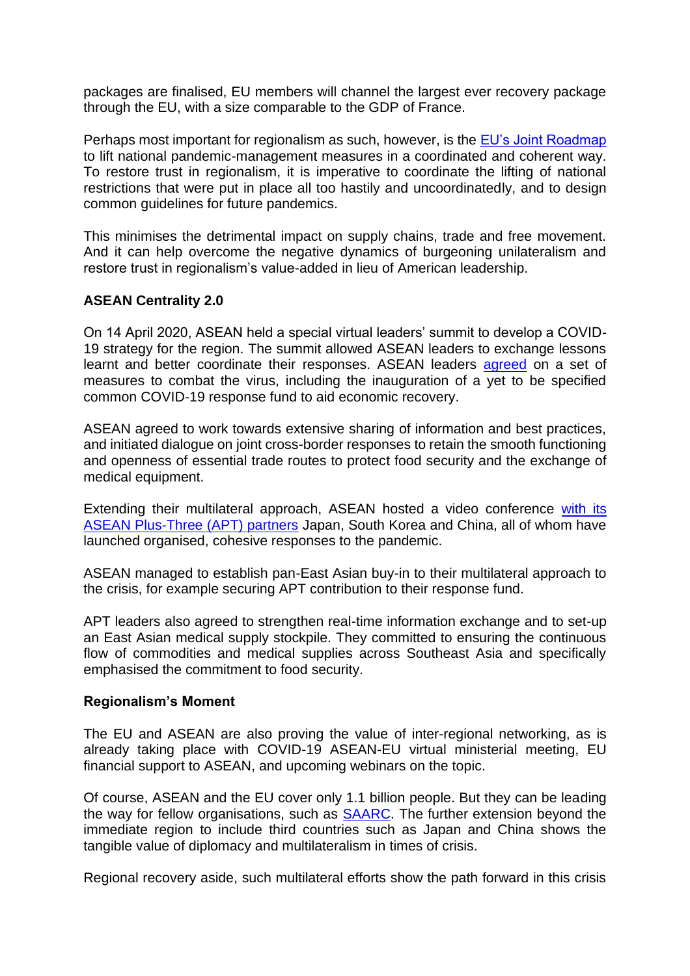packages are finalised, EU members will channel the largest ever recovery package through the EU, with a size comparable to the GDP of France.

Perhaps most important for regionalism as such, however, is the [EU's Joint Roadmap](https://ec.europa.eu/info/sites/info/files/communication_-_a_european_roadmap_to_lifting_coronavirus_containment_measures_0.pdf) to lift national pandemic-management measures in a coordinated and coherent way. To restore trust in regionalism, it is imperative to coordinate the lifting of national restrictions that were put in place all too hastily and uncoordinatedly, and to design common guidelines for future pandemics.

This minimises the detrimental impact on supply chains, trade and free movement. And it can help overcome the negative dynamics of burgeoning unilateralism and restore trust in regionalism's value-added in lieu of American leadership.

### **ASEAN Centrality 2.0**

On 14 April 2020, ASEAN held a special virtual leaders' summit to develop a COVID-19 strategy for the region. The summit allowed ASEAN leaders to exchange lessons learnt and better coordinate their responses. ASEAN leaders [agreed](https://asean.org/storage/2020/04/FINAL-Declaration-of-the-Special-ASEAN-Summit-on-COVID-19.pdf) on a set of measures to combat the virus, including the inauguration of a yet to be specified common COVID-19 response fund to aid economic recovery.

ASEAN agreed to work towards extensive sharing of information and best practices, and initiated dialogue on joint cross-border responses to retain the smooth functioning and openness of essential trade routes to protect food security and the exchange of medical equipment.

Extending their multilateral approach, ASEAN hosted a video conference [with its](https://asean.org/storage/2020/04/Final-Joint-Statement-of-the-Special-APT-Summit-on-COVID-19.pdf)  [ASEAN Plus-Three \(APT\) partners](https://asean.org/storage/2020/04/Final-Joint-Statement-of-the-Special-APT-Summit-on-COVID-19.pdf) Japan, South Korea and China, all of whom have launched organised, cohesive responses to the pandemic.

ASEAN managed to establish pan-East Asian buy-in to their multilateral approach to the crisis, for example securing APT contribution to their response fund.

APT leaders also agreed to strengthen real-time information exchange and to set-up an East Asian medical supply stockpile. They committed to ensuring the continuous flow of commodities and medical supplies across Southeast Asia and specifically emphasised the commitment to food security.

### **Regionalism's Moment**

The EU and ASEAN are also proving the value of inter-regional networking, as is already taking place with COVID-19 ASEAN-EU virtual ministerial meeting, EU financial support to ASEAN, and upcoming webinars on the topic.

Of course, ASEAN and the EU cover only 1.1 billion people. But they can be leading the way for fellow organisations, such as **SAARC**. The further extension beyond the immediate region to include third countries such as Japan and China shows the tangible value of diplomacy and multilateralism in times of crisis.

Regional recovery aside, such multilateral efforts show the path forward in this crisis